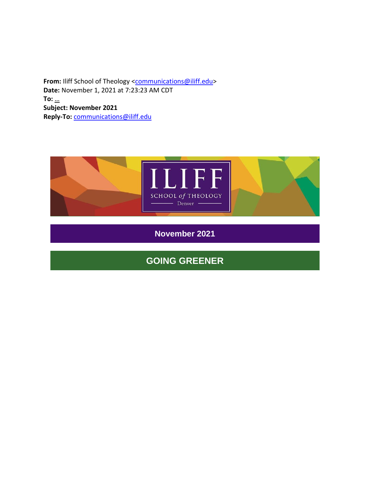From: Iliff School of Theology [<communications@iliff.edu>](mailto:communications@iliff.edu) **Date:** November 1, 2021 at 7:23:23 AM CDT **To:** […](mailto:jmitchell@sttimothyumc.org) **Subject: November 2021 Reply-To:** [communications@iliff.edu](mailto:communications@iliff.edu)



**November 2021**

# **GOING GREENER**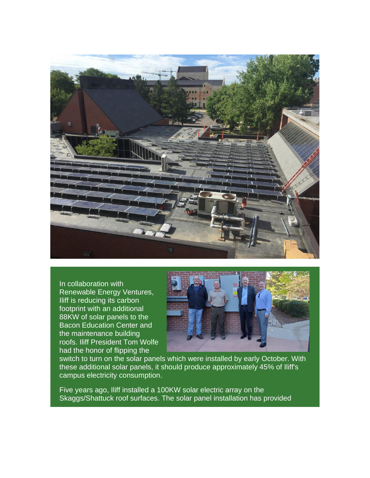

In collaboration with Renewable Energy Ventures, Iliff is reducing its carbon footprint with an additional 88KW of solar panels to the Bacon Education Center and the maintenance building roofs. Iliff President Tom Wolfe had the honor of flipping the



switch to turn on the solar panels which were installed by early October. With these additional solar panels, it should produce approximately 45% of Iliff's campus electricity consumption.

Five years ago, Iliff installed a 100KW solar electric array on the Skaggs/Shattuck roof surfaces. The solar panel installation has provided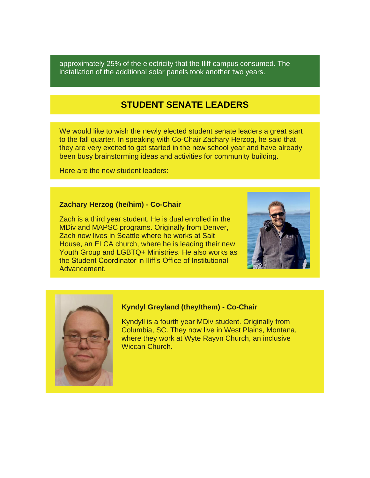approximately 25% of the electricity that the Iliff campus consumed. The installation of the additional solar panels took another two years.

### **STUDENT SENATE LEADERS**

We would like to wish the newly elected student senate leaders a great start to the fall quarter. In speaking with Co-Chair Zachary Herzog, he said that they are very excited to get started in the new school year and have already been busy brainstorming ideas and activities for community building.

Here are the new student leaders:

### **Zachary Herzog (he/him) - Co-Chair**

Zach is a third year student. He is dual enrolled in the MDiv and MAPSC programs. Originally from Denver, Zach now lives in Seattle where he works at Salt House, an ELCA church, where he is leading their new Youth Group and LGBTQ+ Ministries. He also works as the Student Coordinator in Iliff's Office of Institutional Advancement.





### **Kyndyl Greyland (they/them) - Co-Chair**

Kyndyll is a fourth year MDiv student. Originally from Columbia, SC. They now live in West Plains, Montana, where they work at Wyte Rayvn Church, an inclusive Wiccan Church.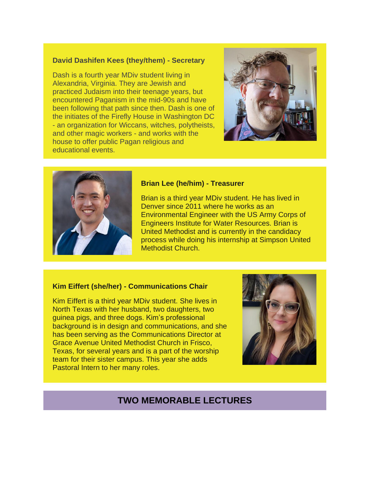### **David Dashifen Kees (they/them) - Secretary**

Dash is a fourth year MDiv student living in Alexandria, Virginia. They are Jewish and practiced Judaism into their teenage years, but encountered Paganism in the mid-90s and have been following that path since then. Dash is one of the initiates of the Firefly House in Washington DC - an organization for Wiccans, witches, polytheists, and other magic workers - and works with the house to offer public Pagan religious and educational events.





#### **Brian Lee (he/him) - Treasurer**

Brian is a third year MDiv student. He has lived in Denver since 2011 where he works as an Environmental Engineer with the US Army Corps of Engineers Institute for Water Resources. Brian is United Methodist and is currently in the candidacy process while doing his internship at Simpson United Methodist Church.

### **Kim Eiffert (she/her) - Communications Chair**

Kim Eiffert is a third year MDiv student. She lives in North Texas with her husband, two daughters, two guinea pigs, and three dogs. Kim's professional background is in design and communications, and she has been serving as the Communications Director at Grace Avenue United Methodist Church in Frisco, Texas, for several years and is a part of the worship team for their sister campus. This year she adds Pastoral Intern to her many roles.



## **TWO MEMORABLE LECTURES**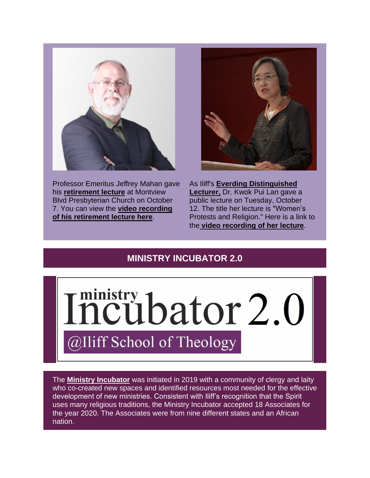

Professor Emeritus Jeffrey Mahan gave his **[retirement lecture](https://r20.rs6.net/tn.jsp?f=001h-eu1vndseDfm9lDR-gLA87qmVbO2rbK6m6LJSPGhn9tlNXt7mzhorzfmL-zpzgdzEFsV9kMzPNj0tg_cV9YM-QKL_sQrslcW1-PnT8WPr5pg-osJbQmViiF1GYZh61fjDZfclTwTABVs0cJHX-JqJgyo6-9ieOjLHFhZJiYdcg=&c=BO1qhxGcXLBvpx5bQmJ-9c3q2rSgbN5U8DuJ7NuMhf4EfkAeFgmJ-w==&ch=J6Nii6bzTjYCM4PutFoKc2DwFNDgS46QHSv-gSlkadcus7PodN_brA==)** at Montview Blvd Presbyterian Church on October 7. You can view the **[video recording](https://r20.rs6.net/tn.jsp?f=001h-eu1vndseDfm9lDR-gLA87qmVbO2rbK6m6LJSPGhn9tlNXt7mzhooO7lqTI_N6q4IO1qLErsogg9ugWx-m6Fo9l6zcjdOhSkg92rBAxCFsZ6kTPqW9vZRYDzhU8W52YM4lImGAktBSpBFIjLCBZmQ==&c=BO1qhxGcXLBvpx5bQmJ-9c3q2rSgbN5U8DuJ7NuMhf4EfkAeFgmJ-w==&ch=J6Nii6bzTjYCM4PutFoKc2DwFNDgS46QHSv-gSlkadcus7PodN_brA==)  [of his retirement lecture here](https://r20.rs6.net/tn.jsp?f=001h-eu1vndseDfm9lDR-gLA87qmVbO2rbK6m6LJSPGhn9tlNXt7mzhooO7lqTI_N6q4IO1qLErsogg9ugWx-m6Fo9l6zcjdOhSkg92rBAxCFsZ6kTPqW9vZRYDzhU8W52YM4lImGAktBSpBFIjLCBZmQ==&c=BO1qhxGcXLBvpx5bQmJ-9c3q2rSgbN5U8DuJ7NuMhf4EfkAeFgmJ-w==&ch=J6Nii6bzTjYCM4PutFoKc2DwFNDgS46QHSv-gSlkadcus7PodN_brA==)**.



As Iliff's **[Everding Distinguished](https://r20.rs6.net/tn.jsp?f=001h-eu1vndseDfm9lDR-gLA87qmVbO2rbK6m6LJSPGhn9tlNXt7mzhotyvCBqkH0I5DrYwLgmfr33y8jvCdESzvSE7PDq73dd_B8peOaQl3YPq_msGrUsvpEEPOa3T983VZ0nqObgk7Ba1P0-9h7T0SLHGJ5DDcoEa&c=BO1qhxGcXLBvpx5bQmJ-9c3q2rSgbN5U8DuJ7NuMhf4EfkAeFgmJ-w==&ch=J6Nii6bzTjYCM4PutFoKc2DwFNDgS46QHSv-gSlkadcus7PodN_brA==)  [Lecturer,](https://r20.rs6.net/tn.jsp?f=001h-eu1vndseDfm9lDR-gLA87qmVbO2rbK6m6LJSPGhn9tlNXt7mzhotyvCBqkH0I5DrYwLgmfr33y8jvCdESzvSE7PDq73dd_B8peOaQl3YPq_msGrUsvpEEPOa3T983VZ0nqObgk7Ba1P0-9h7T0SLHGJ5DDcoEa&c=BO1qhxGcXLBvpx5bQmJ-9c3q2rSgbN5U8DuJ7NuMhf4EfkAeFgmJ-w==&ch=J6Nii6bzTjYCM4PutFoKc2DwFNDgS46QHSv-gSlkadcus7PodN_brA==)** Dr. Kwok Pui Lan gave a public lecture on Tuesday, October 12. The title her lecture is "Women's Protests and Religion." Here is a link to the **[video recording of her lecture](https://r20.rs6.net/tn.jsp?f=001h-eu1vndseDfm9lDR-gLA87qmVbO2rbK6m6LJSPGhn9tlNXt7mzhooO7lqTI_N6qqm_ycwyyDsHVHPNmxpkHmQbByBiGua2rNj5kVoSHwm5QXrKezAB9qgWWjShJ-Tk-wlyTf3eLr9vaCgjmIet46H6Riemu6zKZg4WV0juAmvgx5by206BEIHrWSc1ffGbi0ql2oSO1WU5dqYLCAntpdUva-DgGWS66_FyC4FIoXMx1pPpEjpDSx2LVJLkQxYH0&c=BO1qhxGcXLBvpx5bQmJ-9c3q2rSgbN5U8DuJ7NuMhf4EfkAeFgmJ-w==&ch=J6Nii6bzTjYCM4PutFoKc2DwFNDgS46QHSv-gSlkadcus7PodN_brA==)**.

# **MINISTRY INCUBATOR 2.0**



The **[Ministry Incubator](https://r20.rs6.net/tn.jsp?f=001h-eu1vndseDfm9lDR-gLA87qmVbO2rbK6m6LJSPGhn9tlNXt7mzhooO7lqTI_N6q0rHV9NIntxaJGAwaFF58KhqBZBLBVq3RUk2S849Qvz_r05o6Xl_RTt1dqOOGaoYw4Yo13-J-HqQ17Ze-UkIIWtbPo-ueQr_A5vXnioM4GZMqO7AwrKxU5h0tlq9nx8Vh&c=BO1qhxGcXLBvpx5bQmJ-9c3q2rSgbN5U8DuJ7NuMhf4EfkAeFgmJ-w==&ch=J6Nii6bzTjYCM4PutFoKc2DwFNDgS46QHSv-gSlkadcus7PodN_brA==)** was initiated in 2019 with a community of clergy and laity who co-created new spaces and identified resources most needed for the effective development of new ministries. Consistent with Iliff's recognition that the Spirit uses many religious traditions, the Ministry Incubator accepted 18 Associates for the year 2020. The Associates were from nine different states and an African nation.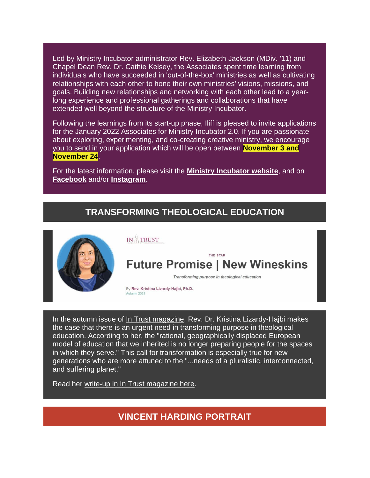Led by Ministry Incubator administrator Rev. Elizabeth Jackson (MDiv. '11) and Chapel Dean Rev. Dr. Cathie Kelsey, the Associates spent time learning from individuals who have succeeded in 'out-of-the-box' ministries as well as cultivating relationships with each other to hone their own ministries' visions, missions, and goals. Building new relationships and networking with each other lead to a yearlong experience and professional gatherings and collaborations that have extended well beyond the structure of the Ministry Incubator.

Following the learnings from its start-up phase, Iliff is pleased to invite applications for the January 2022 Associates for Ministry Incubator 2.0. If you are passionate about exploring, experimenting, and co-creating creative ministry, we encourage you to send in your application which will be open between **November 3 and November 24**.

For the latest information, please visit the **[Ministry Incubator website](https://r20.rs6.net/tn.jsp?f=001h-eu1vndseDfm9lDR-gLA87qmVbO2rbK6m6LJSPGhn9tlNXt7mzhooO7lqTI_N6q0rHV9NIntxaJGAwaFF58KhqBZBLBVq3RUk2S849Qvz_r05o6Xl_RTt1dqOOGaoYw4Yo13-J-HqQ17Ze-UkIIWtbPo-ueQr_A5vXnioM4GZMqO7AwrKxU5h0tlq9nx8Vh&c=BO1qhxGcXLBvpx5bQmJ-9c3q2rSgbN5U8DuJ7NuMhf4EfkAeFgmJ-w==&ch=J6Nii6bzTjYCM4PutFoKc2DwFNDgS46QHSv-gSlkadcus7PodN_brA==)**, and on **[Facebook](https://r20.rs6.net/tn.jsp?f=001h-eu1vndseDfm9lDR-gLA87qmVbO2rbK6m6LJSPGhn9tlNXt7mzholczUJAhCtkHMFqxRz901pmuuyEnm9t3wc8wsrOqmdtVMy5iLSgUEbXJBQzMiJJW9sfpFO8kqqJxxfXL9ENpTDQGvgtNkz02WbodRIIixnryi3NVwNzef4KK58aE8-OSaw==&c=BO1qhxGcXLBvpx5bQmJ-9c3q2rSgbN5U8DuJ7NuMhf4EfkAeFgmJ-w==&ch=J6Nii6bzTjYCM4PutFoKc2DwFNDgS46QHSv-gSlkadcus7PodN_brA==)** and/or **[Instagram](https://r20.rs6.net/tn.jsp?f=001h-eu1vndseDfm9lDR-gLA87qmVbO2rbK6m6LJSPGhn9tlNXt7mzhoqG5xRhHrbFTwDUYAXILlw11QwJp1NoaFeK9jNhOnpcHXkn0bCDavM08wvEzAqRgQxECO2AG8G_JfX9gZHbn-3lJkEJfzgRHcwC7dCtM4vhc5iERPMX_ozzTWbaeXQ4-rQ==&c=BO1qhxGcXLBvpx5bQmJ-9c3q2rSgbN5U8DuJ7NuMhf4EfkAeFgmJ-w==&ch=J6Nii6bzTjYCM4PutFoKc2DwFNDgS46QHSv-gSlkadcus7PodN_brA==)**.

## **TRANSFORMING THEOLOGICAL EDUCATION**



In the autumn issue of [In Trust magazine,](https://r20.rs6.net/tn.jsp?f=001h-eu1vndseDfm9lDR-gLA87qmVbO2rbK6m6LJSPGhn9tlNXt7mzhooO7lqTI_N6qKzbOeIYf1O7A1dofowdKtZCxA_DvPFmPuWY3CpHIAzC3DHf3SSVgP_dYeCqCCCQK-koVcYnGyvYR3e3fbYSmuw==&c=BO1qhxGcXLBvpx5bQmJ-9c3q2rSgbN5U8DuJ7NuMhf4EfkAeFgmJ-w==&ch=J6Nii6bzTjYCM4PutFoKc2DwFNDgS46QHSv-gSlkadcus7PodN_brA==) Rev. Dr. Kristina Lizardy-Hajbi makes the case that there is an urgent need in transforming purpose in theological education. According to her, the "rational, geographically displaced European model of education that we inherited is no longer preparing people for the spaces in which they serve." This call for transformation is especially true for new generations who are more attuned to the "...needs of a pluralistic, interconnected, and suffering planet."

Read her [write-up in In Trust magazine here.](https://r20.rs6.net/tn.jsp?f=001h-eu1vndseDfm9lDR-gLA87qmVbO2rbK6m6LJSPGhn9tlNXt7mzhooO7lqTI_N6q3QRRrTNDu2ko8-4OVRRkYe7N0oBaZ4ZNdd_2_WbCzTNqeDcq8KEtoAFMmUiUTANMovLfIrSAx9SNHDMNBehX4AVfSRIjv8B4e0aN56O5uhuaFMCwW_UOX8APeT_7dZjBT1WBAYspBiw=&c=BO1qhxGcXLBvpx5bQmJ-9c3q2rSgbN5U8DuJ7NuMhf4EfkAeFgmJ-w==&ch=J6Nii6bzTjYCM4PutFoKc2DwFNDgS46QHSv-gSlkadcus7PodN_brA==)

**VINCENT HARDING PORTRAIT**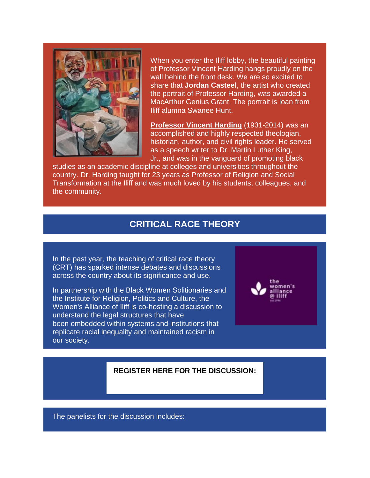

When you enter the Iliff lobby, the beautiful painting of Professor Vincent Harding hangs proudly on the wall behind the front desk. We are so excited to share that **Jordan Casteel**, the artist who created the portrait of Professor Harding, was awarded a MacArthur Genius Grant. The portrait is loan from Iliff alumna Swanee Hunt.

**[Professor Vincent Harding](https://r20.rs6.net/tn.jsp?f=001h-eu1vndseDfm9lDR-gLA87qmVbO2rbK6m6LJSPGhn9tlNXt7mzhoq9e2tUlfxZpp5MCBddEzgd-EP8Pz83VgkhbIBcFkibNNBG6j8PC5EnwIqta8OPX_gP0dX-Yq9_DTxxIBYWVYrNSQd5EdLtuHt48uKpppEqG11FfFwU_j0Y=&c=BO1qhxGcXLBvpx5bQmJ-9c3q2rSgbN5U8DuJ7NuMhf4EfkAeFgmJ-w==&ch=J6Nii6bzTjYCM4PutFoKc2DwFNDgS46QHSv-gSlkadcus7PodN_brA==)** (1931-2014) was an accomplished and highly respected theologian, historian, author, and civil rights leader. He served as a speech writer to [Dr. Martin Luther King,](https://r20.rs6.net/tn.jsp?f=001h-eu1vndseDfm9lDR-gLA87qmVbO2rbK6m6LJSPGhn9tlNXt7mzhooO7lqTI_N6qHuFe96s_7jAXLJ_15PGMlf0Em2T2eUS8XR5dvGS8aHzT6Imj56cfv7XcROl4sozgY7yxUG0LxyNXxTSafJU7Oxk55xSMVzsZGVEIGyJ05IDUPTw2T_kab7qJDQi5oLCr&c=BO1qhxGcXLBvpx5bQmJ-9c3q2rSgbN5U8DuJ7NuMhf4EfkAeFgmJ-w==&ch=J6Nii6bzTjYCM4PutFoKc2DwFNDgS46QHSv-gSlkadcus7PodN_brA==)  [Jr.,](https://r20.rs6.net/tn.jsp?f=001h-eu1vndseDfm9lDR-gLA87qmVbO2rbK6m6LJSPGhn9tlNXt7mzhooO7lqTI_N6qHuFe96s_7jAXLJ_15PGMlf0Em2T2eUS8XR5dvGS8aHzT6Imj56cfv7XcROl4sozgY7yxUG0LxyNXxTSafJU7Oxk55xSMVzsZGVEIGyJ05IDUPTw2T_kab7qJDQi5oLCr&c=BO1qhxGcXLBvpx5bQmJ-9c3q2rSgbN5U8DuJ7NuMhf4EfkAeFgmJ-w==&ch=J6Nii6bzTjYCM4PutFoKc2DwFNDgS46QHSv-gSlkadcus7PodN_brA==) and was in the vanguard of promoting black

studies as an academic discipline at colleges and universities throughout the country. Dr. Harding taught for 23 years as Professor of Religion and Social Transformation at the Iliff and was much loved by his students, colleagues, and the community.

### **CRITICAL RACE THEORY**

In the past year, the teaching of critical race theory (CRT) has sparked intense debates and discussions across the country about its significance and use.

In partnership with the Black Women Solitionaries and the Institute for Religion, Politics and Culture, the Women's Alliance of Iliff is co-hosting a discussion to understand the legal structures that have been embedded within systems and institutions that replicate racial inequality and maintained racism in our society.



### **[REGISTER HERE FOR THE DISCUSSION:](https://r20.rs6.net/tn.jsp?f=001h-eu1vndseDfm9lDR-gLA87qmVbO2rbK6m6LJSPGhn9tlNXt7mzhooO7lqTI_N6q2qY6apy5euD4LKmLKdXXgEbLQSDn5omQjkE_N90VK2x90qwvkfhf9XF89-5R4TiG0GXOWaXn6kvpmCCacxnbd-tQDVRI72wYqiY0wi5xE-wvUgl57bvA97WSkTfEQTZ9Pz3hLpZVOUHOTwmV6UdHMjqVVV1ES39a&c=BO1qhxGcXLBvpx5bQmJ-9c3q2rSgbN5U8DuJ7NuMhf4EfkAeFgmJ-w==&ch=J6Nii6bzTjYCM4PutFoKc2DwFNDgS46QHSv-gSlkadcus7PodN_brA==)**

The panelists for the discussion includes: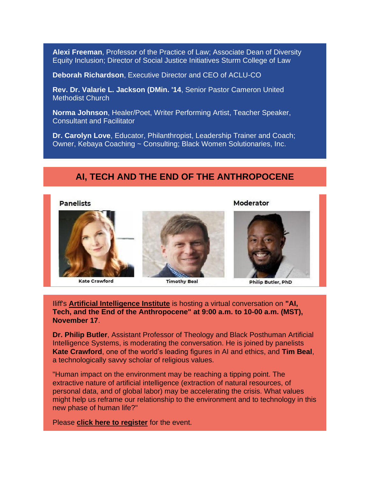**Alexi Freeman**, Professor of the Practice of Law; Associate Dean of Diversity Equity Inclusion; Director of Social Justice Initiatives Sturm College of Law

**Deborah Richardson**, Executive Director and CEO of ACLU-CO

**Rev. Dr. Valarie L. Jackson (DMin. '14**, Senior Pastor Cameron United Methodist Church

**Norma Johnson**, Healer/Poet, Writer Performing Artist, Teacher Speaker, Consultant and Facilitator

**Dr. Carolyn Love**, Educator, Philanthropist, Leadership Trainer and Coach; Owner, Kebaya Coaching ~ Consulting; Black Women Solutionaries, Inc.

# **AI, TECH AND THE END OF THE ANTHROPOCENE**

### **Panelists**

#### Moderator



**Kate Crawford** 

**Timothy Beal** 

**Philip Butler, PhD** 

Iliff's **[Artificial Intelligence Institute](https://r20.rs6.net/tn.jsp?f=001h-eu1vndseDfm9lDR-gLA87qmVbO2rbK6m6LJSPGhn9tlNXt7mzhoqikvUDsCAKMDQ_uscHkUYAVPn0P-SDCcJyBNpErYACEaMO6JjiANtmbhQx_gTcidu4KkJtu178Jo80RvVlKq10=&c=BO1qhxGcXLBvpx5bQmJ-9c3q2rSgbN5U8DuJ7NuMhf4EfkAeFgmJ-w==&ch=J6Nii6bzTjYCM4PutFoKc2DwFNDgS46QHSv-gSlkadcus7PodN_brA==)** is hosting a virtual conversation on **"AI, Tech, and the End of the Anthropocene" at 9:00 a.m. to 10-00 a.m. (MST), November 17**.

**Dr. Philip Butler**, Assistant Professor of Theology and Black Posthuman Artificial Intelligence Systems, is moderating the conversation. He is joined by panelists **Kate Crawford**, one of the world's leading figures in AI and ethics, and **Tim Beal**, a technologically savvy scholar of religious values.

"Human impact on the environment may be reaching a tipping point. The extractive nature of artificial intelligence (extraction of natural resources, of personal data, and of global labor) may be accelerating the crisis. What values might help us reframe our relationship to the environment and to technology in this new phase of human life?"

Please **[click here to register](https://r20.rs6.net/tn.jsp?f=001h-eu1vndseDfm9lDR-gLA87qmVbO2rbK6m6LJSPGhn9tlNXt7mzhooO7lqTI_N6qYwc51ggJQR2caOS8nyXu3-_AVR380F6ODCEtUFuVAtZtwrzKtPnNsuKvsc6OS8CoUOzYKjBXt1YwHzMO63NI2S9RL6OrOqCpuhvUAPCKNd-onBSwPAt9_4bwMvVygLSvc85XLu2P2UIeO84A-hxCo8foTt9GZmEp&c=BO1qhxGcXLBvpx5bQmJ-9c3q2rSgbN5U8DuJ7NuMhf4EfkAeFgmJ-w==&ch=J6Nii6bzTjYCM4PutFoKc2DwFNDgS46QHSv-gSlkadcus7PodN_brA==)** for the event.